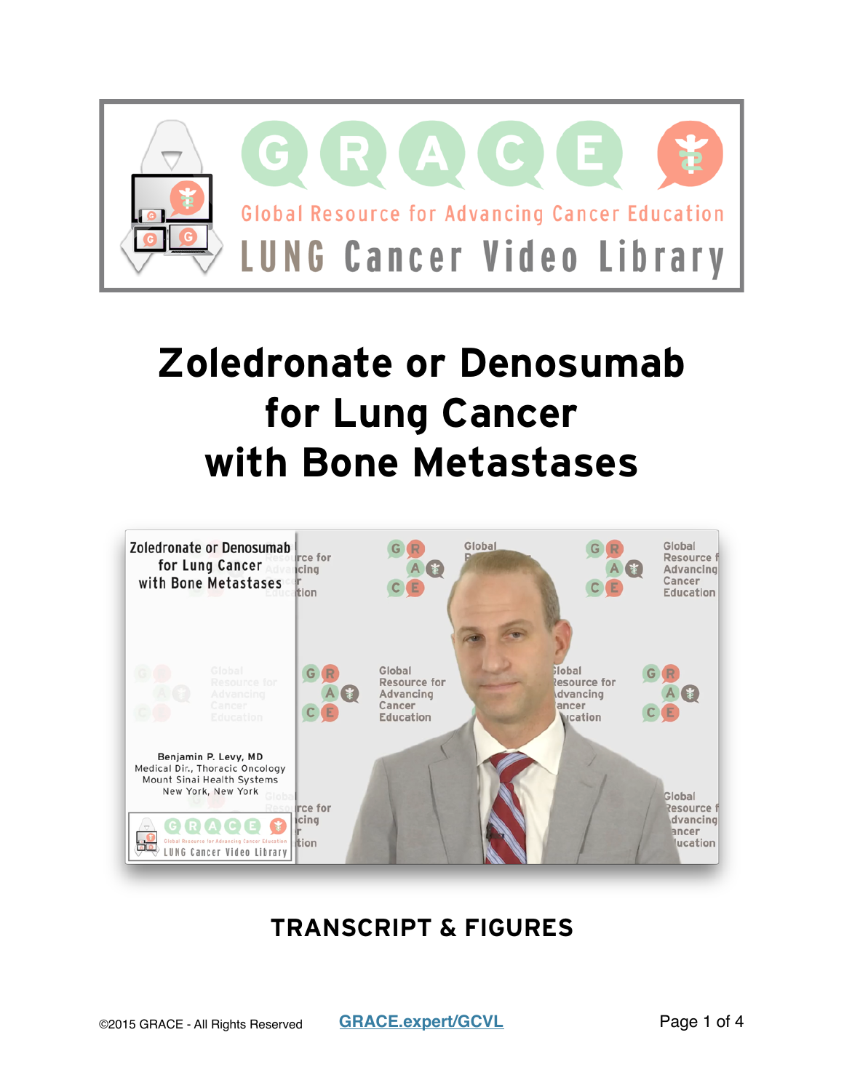

# **Zoledronate or Denosumab for Lung Cancer with Bone Metastases**



### **TRANSCRIPT & FIGURES**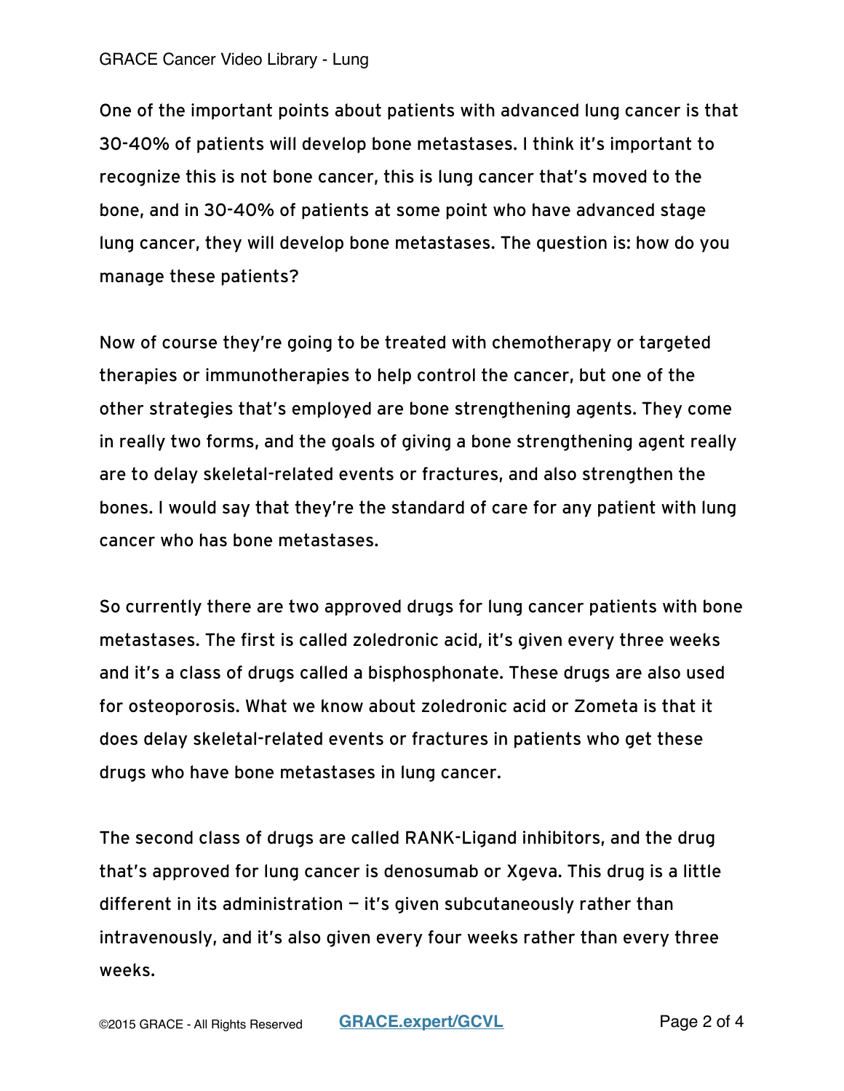#### GRACE Cancer Video Library - Lung

One of the important points about patients with advanced lung cancer is that 30-40% of patients will develop bone metastases. I think it's important to recognize this is not bone cancer, this is lung cancer that's moved to the bone, and in 30-40% of patients at some point who have advanced stage lung cancer, they will develop bone metastases. The question is: how do you manage these patients?

Now of course they're going to be treated with chemotherapy or targeted therapies or immunotherapies to help control the cancer, but one of the other strategies that's employed are bone strengthening agents. They come in really two forms, and the goals of giving a bone strengthening agent really are to delay skeletal-related events or fractures, and also strengthen the bones. I would say that they're the standard of care for any patient with lung cancer who has bone metastases.

So currently there are two approved drugs for lung cancer patients with bone metastases. The first is called zoledronic acid, it's given every three weeks and it's a class of drugs called a bisphosphonate. These drugs are also used for osteoporosis. What we know about zoledronic acid or Zometa is that it does delay skeletal-related events or fractures in patients who get these drugs who have bone metastases in lung cancer.

The second class of drugs are called RANK-Ligand inhibitors, and the drug that's approved for lung cancer is denosumab or Xgeva. This drug is a little different in its administration  $-$  it's given subcutaneously rather than intravenously, and it's also given every four weeks rather than every three weeks.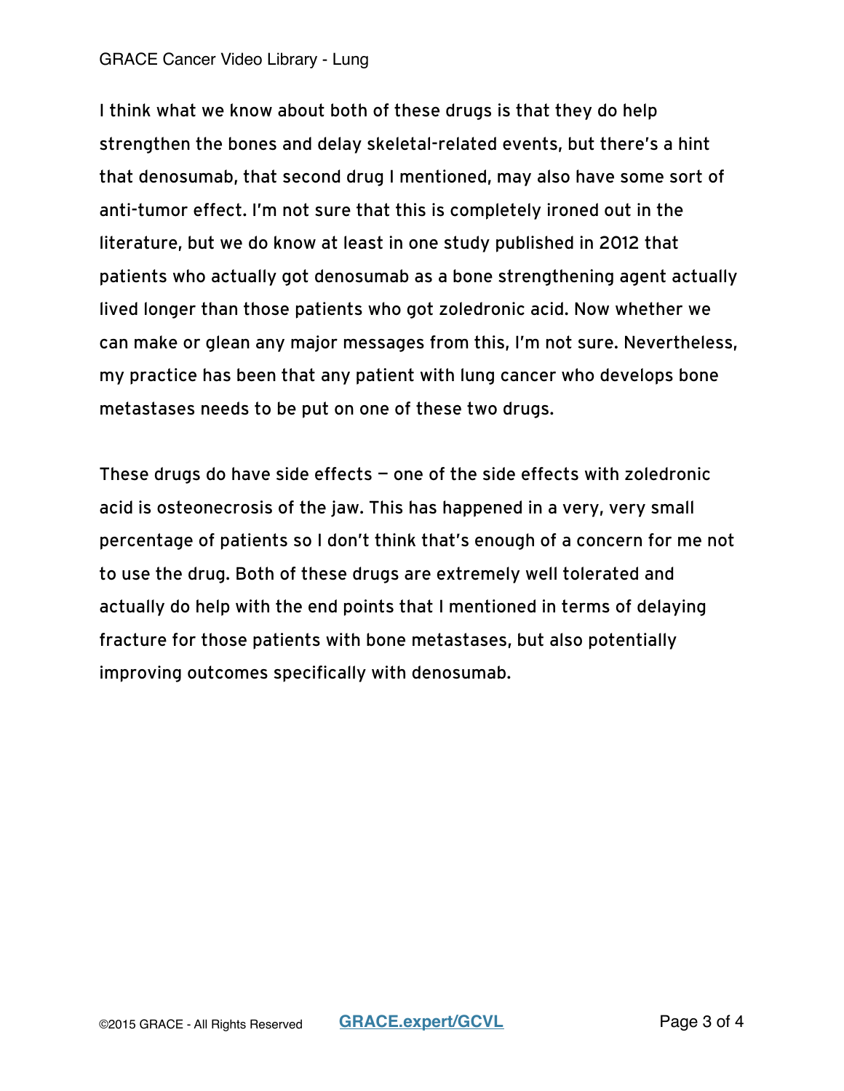#### GRACE Cancer Video Library - Lung

I think what we know about both of these drugs is that they do help strengthen the bones and delay skeletal-related events, but there's a hint that denosumab, that second drug I mentioned, may also have some sort of anti-tumor effect. I'm not sure that this is completely ironed out in the literature, but we do know at least in one study published in 2012 that patients who actually got denosumab as a bone strengthening agent actually lived longer than those patients who got zoledronic acid. Now whether we can make or glean any major messages from this, I'm not sure. Nevertheless, my practice has been that any patient with lung cancer who develops bone metastases needs to be put on one of these two drugs.

These drugs do have side effects  $-$  one of the side effects with zoledronic acid is osteonecrosis of the jaw. This has happened in a very, very small percentage of patients so I don't think that's enough of a concern for me not to use the drug. Both of these drugs are extremely well tolerated and actually do help with the end points that I mentioned in terms of delaying fracture for those patients with bone metastases, but also potentially improving outcomes specifically with denosumab.